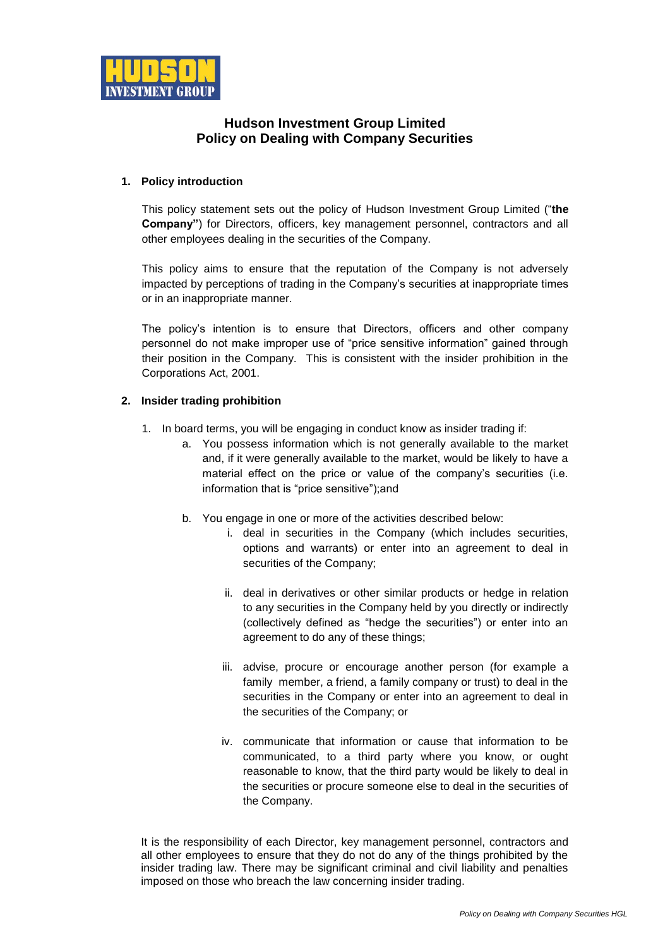

# **Hudson Investment Group Limited Policy on Dealing with Company Securities**

# **1. Policy introduction**

This policy statement sets out the policy of Hudson Investment Group Limited ("**the Company"**) for Directors, officers, key management personnel, contractors and all other employees dealing in the securities of the Company.

This policy aims to ensure that the reputation of the Company is not adversely impacted by perceptions of trading in the Company's securities at inappropriate times or in an inappropriate manner.

The policy's intention is to ensure that Directors, officers and other company personnel do not make improper use of "price sensitive information" gained through their position in the Company. This is consistent with the insider prohibition in the Corporations Act, 2001.

# **2. Insider trading prohibition**

- 1. In board terms, you will be engaging in conduct know as insider trading if:
	- a. You possess information which is not generally available to the market and, if it were generally available to the market, would be likely to have a material effect on the price or value of the company's securities (i.e. information that is "price sensitive");and
	- b. You engage in one or more of the activities described below:
		- i. deal in securities in the Company (which includes securities, options and warrants) or enter into an agreement to deal in securities of the Company;
		- ii. deal in derivatives or other similar products or hedge in relation to any securities in the Company held by you directly or indirectly (collectively defined as "hedge the securities") or enter into an agreement to do any of these things;
		- iii. advise, procure or encourage another person (for example a family member, a friend, a family company or trust) to deal in the securities in the Company or enter into an agreement to deal in the securities of the Company; or
		- iv. communicate that information or cause that information to be communicated, to a third party where you know, or ought reasonable to know, that the third party would be likely to deal in the securities or procure someone else to deal in the securities of the Company.

It is the responsibility of each Director, key management personnel, contractors and all other employees to ensure that they do not do any of the things prohibited by the insider trading law. There may be significant criminal and civil liability and penalties imposed on those who breach the law concerning insider trading.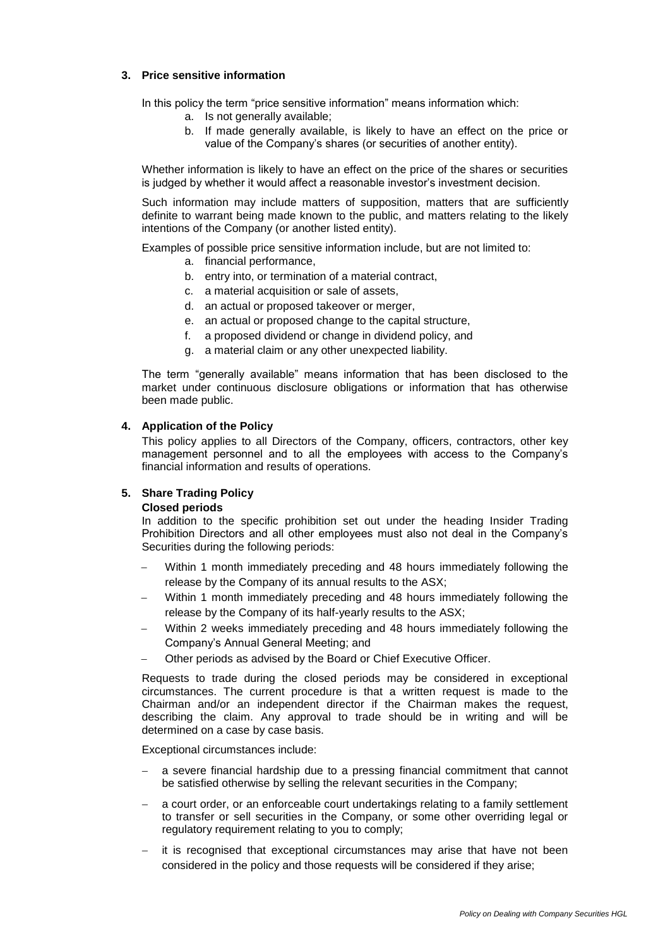## **3. Price sensitive information**

In this policy the term "price sensitive information" means information which:

- a. Is not generally available;
- b. If made generally available, is likely to have an effect on the price or value of the Company's shares (or securities of another entity).

Whether information is likely to have an effect on the price of the shares or securities is judged by whether it would affect a reasonable investor's investment decision.

Such information may include matters of supposition, matters that are sufficiently definite to warrant being made known to the public, and matters relating to the likely intentions of the Company (or another listed entity).

Examples of possible price sensitive information include, but are not limited to:

- a. financial performance,
- b. entry into, or termination of a material contract,
- c. a material acquisition or sale of assets,
- d. an actual or proposed takeover or merger,
- e. an actual or proposed change to the capital structure,
- f. a proposed dividend or change in dividend policy, and
- g. a material claim or any other unexpected liability.

The term "generally available" means information that has been disclosed to the market under continuous disclosure obligations or information that has otherwise been made public.

## **4. Application of the Policy**

This policy applies to all Directors of the Company, officers, contractors, other key management personnel and to all the employees with access to the Company's financial information and results of operations.

# **5. Share Trading Policy**

#### **Closed periods**

In addition to the specific prohibition set out under the heading Insider Trading Prohibition Directors and all other employees must also not deal in the Company's Securities during the following periods:

- Within 1 month immediately preceding and 48 hours immediately following the release by the Company of its annual results to the ASX;
- Within 1 month immediately preceding and 48 hours immediately following the release by the Company of its half-yearly results to the ASX;
- Within 2 weeks immediately preceding and 48 hours immediately following the Company's Annual General Meeting; and
- Other periods as advised by the Board or Chief Executive Officer.

Requests to trade during the closed periods may be considered in exceptional circumstances. The current procedure is that a written request is made to the Chairman and/or an independent director if the Chairman makes the request, describing the claim. Any approval to trade should be in writing and will be determined on a case by case basis.

Exceptional circumstances include:

- a severe financial hardship due to a pressing financial commitment that cannot be satisfied otherwise by selling the relevant securities in the Company;
- a court order, or an enforceable court undertakings relating to a family settlement to transfer or sell securities in the Company, or some other overriding legal or regulatory requirement relating to you to comply;
- it is recognised that exceptional circumstances may arise that have not been considered in the policy and those requests will be considered if they arise;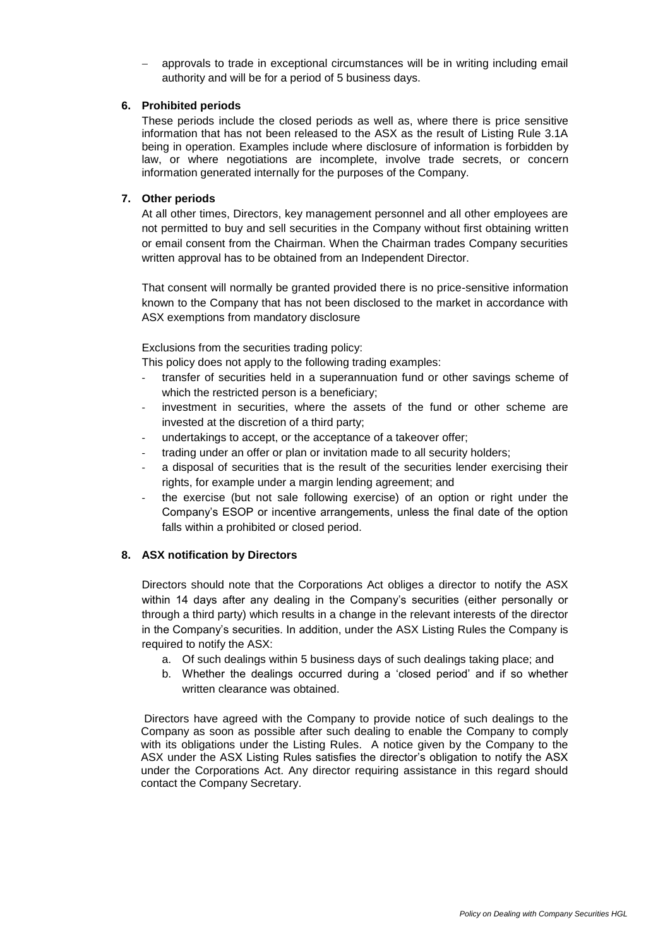approvals to trade in exceptional circumstances will be in writing including email authority and will be for a period of 5 business days.

## **6. Prohibited periods**

These periods include the closed periods as well as, where there is price sensitive information that has not been released to the ASX as the result of Listing Rule 3.1A being in operation. Examples include where disclosure of information is forbidden by law, or where negotiations are incomplete, involve trade secrets, or concern information generated internally for the purposes of the Company.

## **7. Other periods**

At all other times, Directors, key management personnel and all other employees are not permitted to buy and sell securities in the Company without first obtaining written or email consent from the Chairman. When the Chairman trades Company securities written approval has to be obtained from an Independent Director.

That consent will normally be granted provided there is no price-sensitive information known to the Company that has not been disclosed to the market in accordance with ASX exemptions from mandatory disclosure

Exclusions from the securities trading policy:

This policy does not apply to the following trading examples:

- transfer of securities held in a superannuation fund or other savings scheme of which the restricted person is a beneficiary;
- investment in securities, where the assets of the fund or other scheme are invested at the discretion of a third party;
- undertakings to accept, or the acceptance of a takeover offer;
- trading under an offer or plan or invitation made to all security holders;
- a disposal of securities that is the result of the securities lender exercising their rights, for example under a margin lending agreement; and
- the exercise (but not sale following exercise) of an option or right under the Company's ESOP or incentive arrangements, unless the final date of the option falls within a prohibited or closed period.

# **8. ASX notification by Directors**

Directors should note that the Corporations Act obliges a director to notify the ASX within 14 days after any dealing in the Company's securities (either personally or through a third party) which results in a change in the relevant interests of the director in the Company's securities. In addition, under the ASX Listing Rules the Company is required to notify the ASX:

- a. Of such dealings within 5 business days of such dealings taking place; and
- b. Whether the dealings occurred during a 'closed period' and if so whether written clearance was obtained.

Directors have agreed with the Company to provide notice of such dealings to the Company as soon as possible after such dealing to enable the Company to comply with its obligations under the Listing Rules. A notice given by the Company to the ASX under the ASX Listing Rules satisfies the director's obligation to notify the ASX under the Corporations Act. Any director requiring assistance in this regard should contact the Company Secretary.